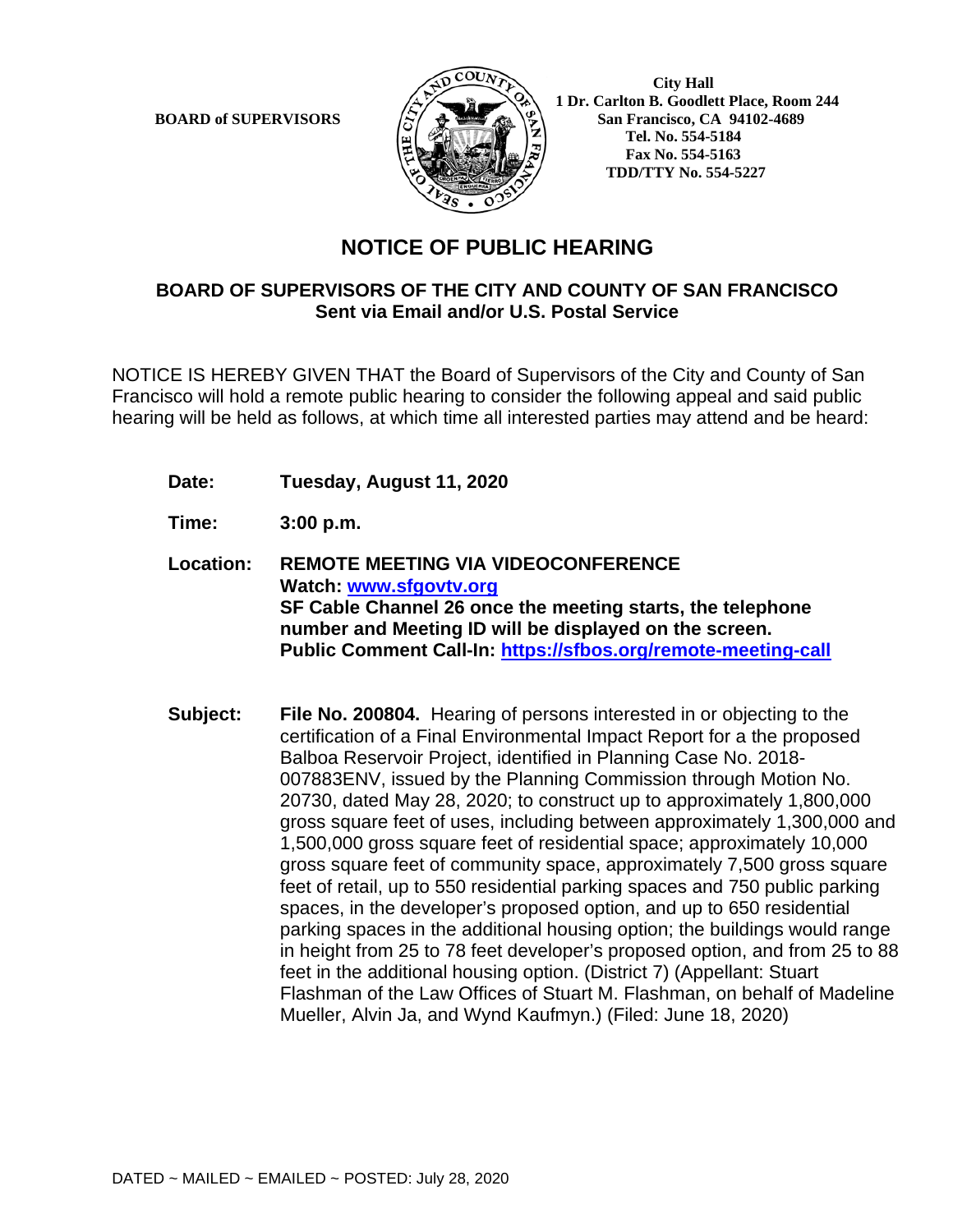

**BOARD of SUPERVISORS**  $\left(\frac{1}{2}\right)$  **1 Dr.** Carlton B. Goodlett Place, Room 244 **San Francisco, CA 94102-4689 Tel. No. 554-5184 Fax No. 554-5163 TDD/TTY No. 554-5227**

## **NOTICE OF PUBLIC HEARING**

## **BOARD OF SUPERVISORS OF THE CITY AND COUNTY OF SAN FRANCISCO Sent via Email and/or U.S. Postal Service**

NOTICE IS HEREBY GIVEN THAT the Board of Supervisors of the City and County of San Francisco will hold a remote public hearing to consider the following appeal and said public hearing will be held as follows, at which time all interested parties may attend and be heard:

- **Date: Tuesday, August 11, 2020**
- **Time: 3:00 p.m.**
- **Location: REMOTE MEETING VIA VIDEOCONFERENCE Watch: www.sfgovtv.org SF Cable Channel 26 once the meeting starts, the telephone number and Meeting ID will be displayed on the screen. Public Comment Call-In: https://sfbos.org/remote-meeting-call**
- **Subject: File No. 200804.** Hearing of persons interested in or objecting to the certification of a Final Environmental Impact Report for a the proposed Balboa Reservoir Project, identified in Planning Case No. 2018- 007883ENV, issued by the Planning Commission through Motion No. 20730, dated May 28, 2020; to construct up to approximately 1,800,000 gross square feet of uses, including between approximately 1,300,000 and 1,500,000 gross square feet of residential space; approximately 10,000 gross square feet of community space, approximately 7,500 gross square feet of retail, up to 550 residential parking spaces and 750 public parking spaces, in the developer's proposed option, and up to 650 residential parking spaces in the additional housing option; the buildings would range in height from 25 to 78 feet developer's proposed option, and from 25 to 88 feet in the additional housing option. (District 7) (Appellant: Stuart Flashman of the Law Offices of Stuart M. Flashman, on behalf of Madeline Mueller, Alvin Ja, and Wynd Kaufmyn.) (Filed: June 18, 2020)